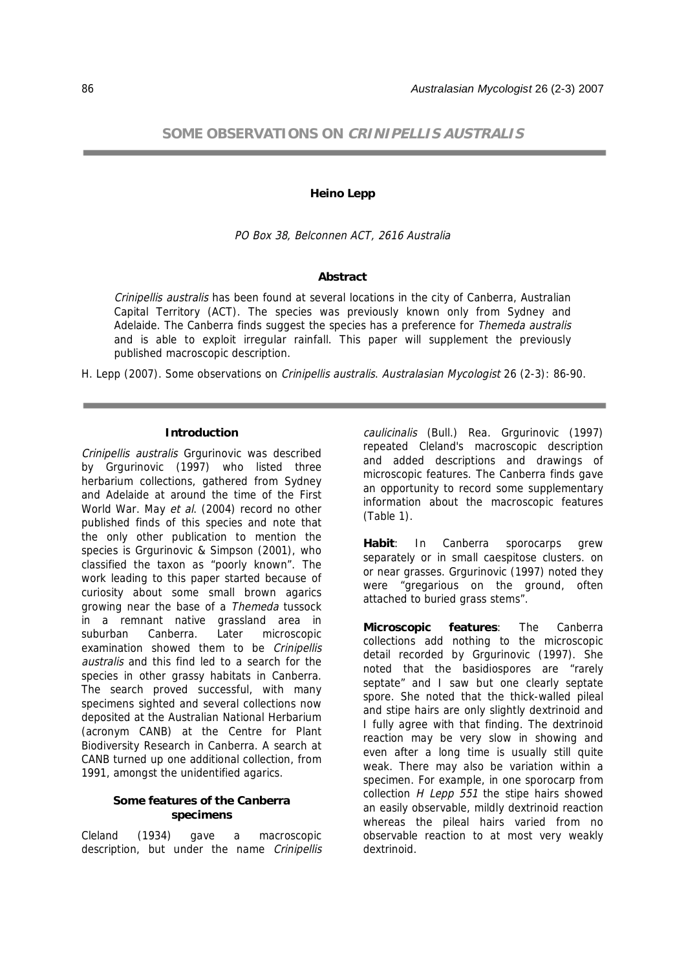# **SOME OBSERVATIONS ON CRINIPELLIS AUSTRALIS**

### **Heino Lepp**

PO Box 38, Belconnen ACT, 2616 Australia

## **Abstract**

Crinipellis australis has been found at several locations in the city of Canberra, Australian Capital Territory (ACT). The species was previously known only from Sydney and Adelaide. The Canberra finds suggest the species has a preference for *Themeda australis* and is able to exploit irregular rainfall. This paper will supplement the previously published macroscopic description.

H. Lepp (2007). Some observations on Crinipellis australis. Australasian Mycologist 26 (2-3): 86-90.

### **Introduction**

Crinipellis australis Grgurinovic was described by Grgurinovic (1997) who listed three herbarium collections, gathered from Sydney and Adelaide at around the time of the First World War. May et al. (2004) record no other published finds of this species and note that the only other publication to mention the species is Grgurinovic & Simpson (2001), who classified the taxon as "poorly known". The work leading to this paper started because of curiosity about some small brown agarics growing near the base of a Themeda tussock in a remnant native grassland area in suburban Canberra. Later microscopic examination showed them to be Crinipellis australis and this find led to a search for the species in other grassy habitats in Canberra. The search proved successful, with many specimens sighted and several collections now deposited at the Australian National Herbarium (acronym CANB) at the Centre for Plant Biodiversity Research in Canberra. A search at CANB turned up one additional collection, from 1991, amongst the unidentified agarics.

# **Some features of the Canberra specimens**

Cleland (1934) gave a macroscopic description, but under the name Crinipellis caulicinalis (Bull.) Rea. Grgurinovic (1997) repeated Cleland's macroscopic description and added descriptions and drawings of microscopic features. The Canberra finds gave an opportunity to record some supplementary information about the macroscopic features (Table 1).

**Habit**: In Canberra sporocarps grew separately or in small caespitose clusters. on or near grasses. Grgurinovic (1997) noted they were "gregarious on the ground, often attached to buried grass stems".

**Microscopic features**: The Canberra collections add nothing to the microscopic detail recorded by Grgurinovic (1997). She noted that the basidiospores are "rarely septate" and I saw but one clearly septate spore. She noted that the thick-walled pileal and stipe hairs are only slightly dextrinoid and I fully agree with that finding. The dextrinoid reaction may be very slow in showing and even after a long time is usually still quite weak. There may also be variation within a specimen. For example, in one sporocarp from collection  $H$  Lepp 551 the stipe hairs showed an easily observable, mildly dextrinoid reaction whereas the pileal hairs varied from no observable reaction to at most very weakly dextrinoid.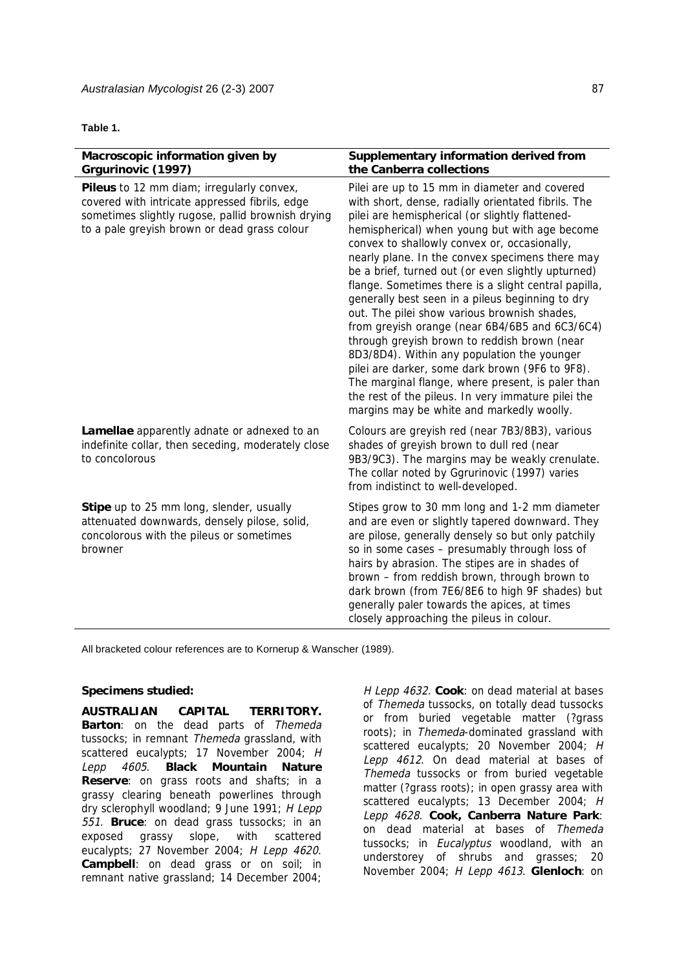### **Table 1.**

| Macroscopic information given by<br>Grgurinovic (1997)                                                                                                                                           | Supplementary information derived from<br>the Canberra collections                                                                                                                                                                                                                                                                                                                                                                                                                                                                                                                                                                                                                                                                                                                                                                                                                        |
|--------------------------------------------------------------------------------------------------------------------------------------------------------------------------------------------------|-------------------------------------------------------------------------------------------------------------------------------------------------------------------------------------------------------------------------------------------------------------------------------------------------------------------------------------------------------------------------------------------------------------------------------------------------------------------------------------------------------------------------------------------------------------------------------------------------------------------------------------------------------------------------------------------------------------------------------------------------------------------------------------------------------------------------------------------------------------------------------------------|
| Pileus to 12 mm diam; irregularly convex,<br>covered with intricate appressed fibrils, edge<br>sometimes slightly rugose, pallid brownish drying<br>to a pale greyish brown or dead grass colour | Pilei are up to 15 mm in diameter and covered<br>with short, dense, radially orientated fibrils. The<br>pilei are hemispherical (or slightly flattened-<br>hemispherical) when young but with age become<br>convex to shallowly convex or, occasionally,<br>nearly plane. In the convex specimens there may<br>be a brief, turned out (or even slightly upturned)<br>flange. Sometimes there is a slight central papilla,<br>generally best seen in a pileus beginning to dry<br>out. The pilei show various brownish shades,<br>from greyish orange (near 6B4/6B5 and 6C3/6C4)<br>through greyish brown to reddish brown (near<br>8D3/8D4). Within any population the younger<br>pilei are darker, some dark brown (9F6 to 9F8).<br>The marginal flange, where present, is paler than<br>the rest of the pileus. In very immature pilei the<br>margins may be white and markedly woolly. |
| Lamellae apparently adnate or adnexed to an<br>indefinite collar, then seceding, moderately close<br>to concolorous                                                                              | Colours are greyish red (near 7B3/8B3), various<br>shades of greyish brown to dull red (near<br>9B3/9C3). The margins may be weakly crenulate.<br>The collar noted by Ggrurinovic (1997) varies<br>from indistinct to well-developed.                                                                                                                                                                                                                                                                                                                                                                                                                                                                                                                                                                                                                                                     |
| Stipe up to 25 mm long, slender, usually<br>attenuated downwards, densely pilose, solid,<br>concolorous with the pileus or sometimes<br>browner                                                  | Stipes grow to 30 mm long and 1-2 mm diameter<br>and are even or slightly tapered downward. They<br>are pilose, generally densely so but only patchily<br>so in some cases - presumably through loss of<br>hairs by abrasion. The stipes are in shades of<br>brown - from reddish brown, through brown to<br>dark brown (from 7E6/8E6 to high 9F shades) but<br>generally paler towards the apices, at times<br>closely approaching the pileus in colour.                                                                                                                                                                                                                                                                                                                                                                                                                                 |

All bracketed colour references are to Kornerup & Wanscher (1989).

# **Specimens studied:**

**AUSTRALIAN CAPITAL TERRITORY. Barton**: on the dead parts of Themeda tussocks; in remnant Themeda grassland, with scattered eucalypts: 17 November 2004; H Lepp 4605. **Black Mountain Nature Reserve**: on grass roots and shafts; in a grassy clearing beneath powerlines through dry sclerophyll woodland; 9 June 1991; H Lepp 551. **Bruce**: on dead grass tussocks; in an exposed grassy slope, with scattered eucalypts; 27 November 2004; H Lepp 4620. **Campbell**: on dead grass or on soil; in remnant native grassland; 14 December 2004;

H Lepp 4632. **Cook**: on dead material at bases of Themeda tussocks, on totally dead tussocks or from buried vegetable matter (?grass roots); in Themeda-dominated grassland with scattered eucalypts; 20 November 2004; H Lepp 4612. On dead material at bases of Themeda tussocks or from buried vegetable matter (?grass roots); in open grassy area with scattered eucalypts; 13 December 2004; H Lepp 4628. **Cook, Canberra Nature Park**: on dead material at bases of Themeda tussocks; in *Eucalyptus* woodland, with an understorey of shrubs and grasses; 20 November 2004; H Lepp 4613. **Glenloch**: on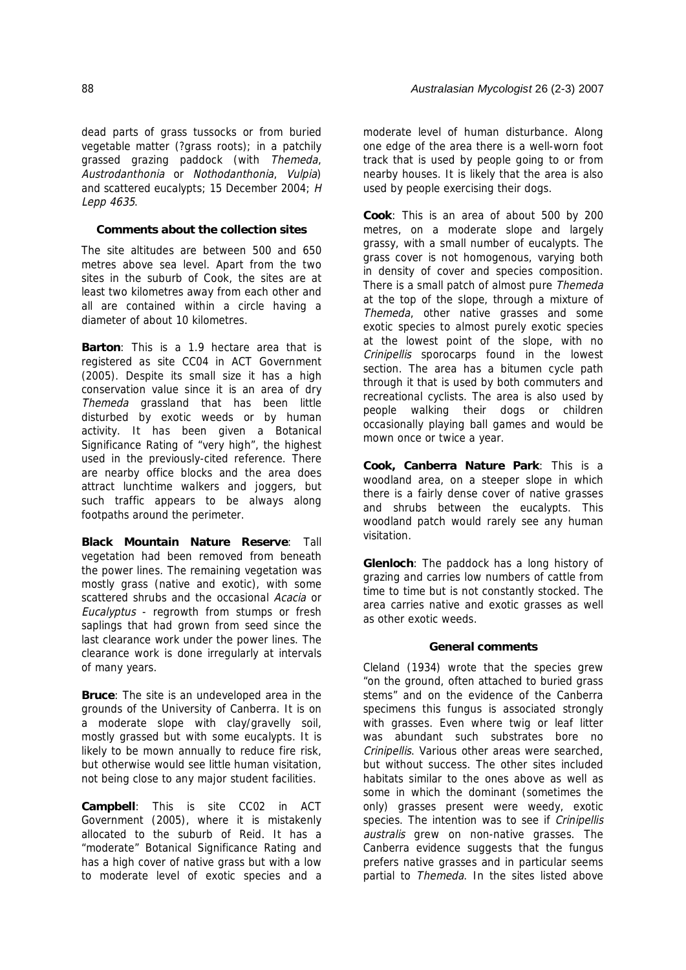dead parts of grass tussocks or from buried vegetable matter (?grass roots); in a patchily grassed grazing paddock (with Themeda, Austrodanthonia or Nothodanthonia, Vulpia) and scattered eucalypts; 15 December 2004; H Lepp 4635.

### **Comments about the collection sites**

The site altitudes are between 500 and 650 metres above sea level. Apart from the two sites in the suburb of Cook, the sites are at least two kilometres away from each other and all are contained within a circle having a diameter of about 10 kilometres.

**Barton**: This is a 1.9 hectare area that is registered as site CC04 in ACT Government (2005). Despite its small size it has a high conservation value since it is an area of dry Themeda grassland that has been little disturbed by exotic weeds or by human activity. It has been given a Botanical Significance Rating of "very high", the highest used in the previously-cited reference. There are nearby office blocks and the area does attract lunchtime walkers and joggers, but such traffic appears to be always along footpaths around the perimeter.

**Black Mountain Nature Reserve**: Tall vegetation had been removed from beneath the power lines. The remaining vegetation was mostly grass (native and exotic), with some scattered shrubs and the occasional Acacia or Eucalyptus - regrowth from stumps or fresh saplings that had grown from seed since the last clearance work under the power lines. The clearance work is done irregularly at intervals of many years.

**Bruce**: The site is an undeveloped area in the grounds of the University of Canberra. It is on a moderate slope with clay/gravelly soil, mostly grassed but with some eucalypts. It is likely to be mown annually to reduce fire risk, but otherwise would see little human visitation, not being close to any major student facilities.

**Campbell**: This is site CC02 in ACT Government (2005), where it is mistakenly allocated to the suburb of Reid. It has a "moderate" Botanical Significance Rating and has a high cover of native grass but with a low to moderate level of exotic species and a moderate level of human disturbance. Along one edge of the area there is a well-worn foot track that is used by people going to or from nearby houses. It is likely that the area is also used by people exercising their dogs.

**Cook**: This is an area of about 500 by 200 metres, on a moderate slope and largely grassy, with a small number of eucalypts. The grass cover is not homogenous, varying both in density of cover and species composition. There is a small patch of almost pure Themeda at the top of the slope, through a mixture of Themeda, other native grasses and some exotic species to almost purely exotic species at the lowest point of the slope, with no Crinipellis sporocarps found in the lowest section. The area has a bitumen cycle path through it that is used by both commuters and recreational cyclists. The area is also used by people walking their dogs or children occasionally playing ball games and would be mown once or twice a year.

**Cook, Canberra Nature Park**: This is a woodland area, on a steeper slope in which there is a fairly dense cover of native grasses and shrubs between the eucalypts. This woodland patch would rarely see any human visitation.

**Glenloch**: The paddock has a long history of grazing and carries low numbers of cattle from time to time but is not constantly stocked. The area carries native and exotic grasses as well as other exotic weeds.

### **General comments**

Cleland (1934) wrote that the species grew "on the ground, often attached to buried grass stems" and on the evidence of the Canberra specimens this fungus is associated strongly with grasses. Even where twig or leaf litter was abundant such substrates bore no Crinipellis. Various other areas were searched, but without success. The other sites included habitats similar to the ones above as well as some in which the dominant (sometimes the only) grasses present were weedy, exotic species. The intention was to see if Crinipellis australis grew on non-native grasses. The Canberra evidence suggests that the fungus prefers native grasses and in particular seems partial to Themeda. In the sites listed above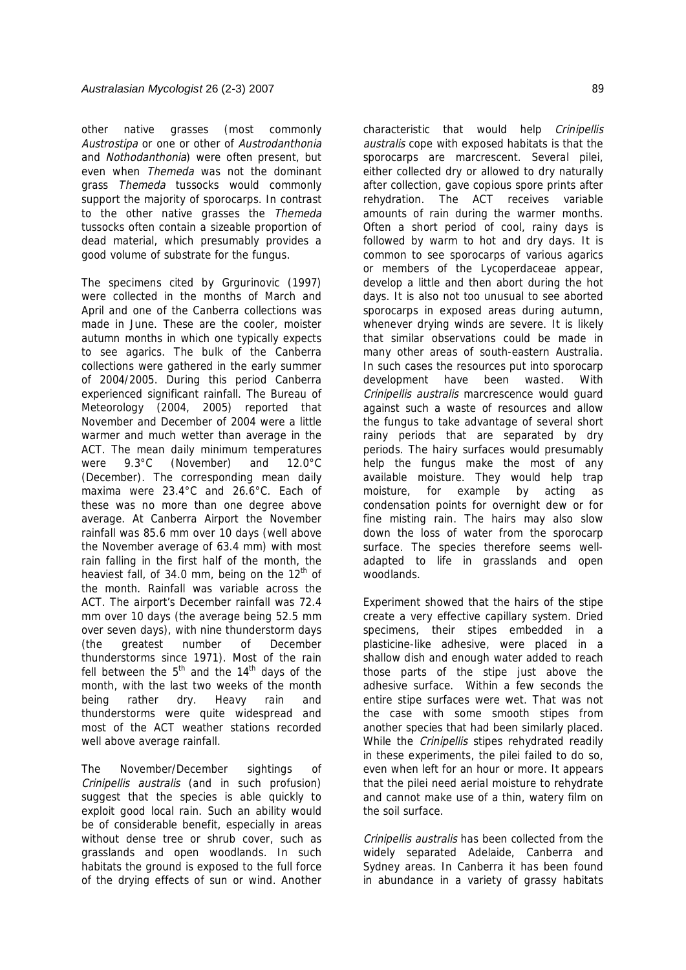other native grasses (most commonly Austrostipa or one or other of Austrodanthonia and Nothodanthonia) were often present, but even when Themeda was not the dominant grass Themeda tussocks would commonly support the majority of sporocarps. In contrast to the other native grasses the Themeda tussocks often contain a sizeable proportion of dead material, which presumably provides a good volume of substrate for the fungus.

The specimens cited by Grgurinovic (1997) were collected in the months of March and April and one of the Canberra collections was made in June. These are the cooler, moister autumn months in which one typically expects to see agarics. The bulk of the Canberra collections were gathered in the early summer of 2004/2005. During this period Canberra experienced significant rainfall. The Bureau of Meteorology (2004, 2005) reported that November and December of 2004 were a little warmer and much wetter than average in the ACT. The mean daily minimum temperatures were 9.3°C (November) and 12.0°C (December). The corresponding mean daily maxima were 23.4°C and 26.6°C. Each of these was no more than one degree above average. At Canberra Airport the November rainfall was 85.6 mm over 10 days (well above the November average of 63.4 mm) with most rain falling in the first half of the month, the heaviest fall, of 34.0 mm, being on the  $12<sup>th</sup>$  of the month. Rainfall was variable across the ACT. The airport's December rainfall was 72.4 mm over 10 days (the average being 52.5 mm over seven days), with nine thunderstorm days (the greatest number of December thunderstorms since 1971). Most of the rain fell between the  $5<sup>th</sup>$  and the 14<sup>th</sup> days of the month, with the last two weeks of the month being rather dry. Heavy rain and thunderstorms were quite widespread and most of the ACT weather stations recorded well above average rainfall.

The November/December sightings of Crinipellis australis (and in such profusion) suggest that the species is able quickly to exploit good local rain. Such an ability would be of considerable benefit, especially in areas without dense tree or shrub cover, such as grasslands and open woodlands. In such habitats the ground is exposed to the full force of the drying effects of sun or wind. Another

characteristic that would help Crinipellis australis cope with exposed habitats is that the sporocarps are marcrescent. Several pilei, either collected dry or allowed to dry naturally after collection, gave copious spore prints after rehydration. The ACT receives variable amounts of rain during the warmer months. Often a short period of cool, rainy days is followed by warm to hot and dry days. It is common to see sporocarps of various agarics or members of the Lycoperdaceae appear, develop a little and then abort during the hot days. It is also not too unusual to see aborted sporocarps in exposed areas during autumn, whenever drying winds are severe. It is likely that similar observations could be made in many other areas of south-eastern Australia. In such cases the resources put into sporocarp development have been wasted. With Crinipellis australis marcrescence would guard against such a waste of resources and allow the fungus to take advantage of several short rainy periods that are separated by dry periods. The hairy surfaces would presumably help the fungus make the most of any available moisture. They would help trap moisture, for example by acting as condensation points for overnight dew or for fine misting rain. The hairs may also slow down the loss of water from the sporocarp surface. The species therefore seems welladapted to life in grasslands and open woodlands.

Experiment showed that the hairs of the stipe create a very effective capillary system. Dried specimens, their stipes embedded in a plasticine-like adhesive, were placed in a shallow dish and enough water added to reach those parts of the stipe just above the adhesive surface. Within a few seconds the entire stipe surfaces were wet. That was not the case with some smooth stipes from another species that had been similarly placed. While the *Crinipellis* stipes rehydrated readily in these experiments, the pilei failed to do so, even when left for an hour or more. It appears that the pilei need aerial moisture to rehydrate and cannot make use of a thin, watery film on the soil surface.

Crinipellis australis has been collected from the widely separated Adelaide, Canberra and Sydney areas. In Canberra it has been found in abundance in a variety of grassy habitats